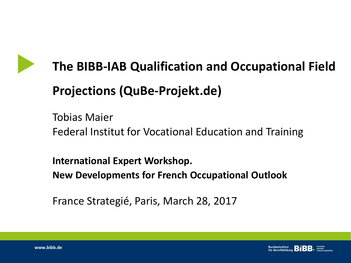

# **The BIBB-IAB Qualification and Occupational Field Projections (QuBe-Projekt.de)**

Tobias Maier Federal Institut for Vocational Education and Training

**International Expert Workshop. New Developments for French Occupational Outlook**

France Strategié, Paris, March 28, 2017

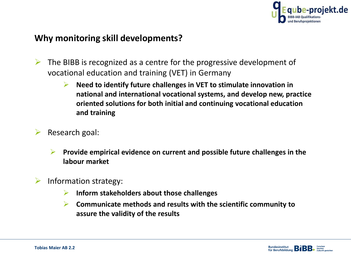

## **Why monitoring skill developments?**

- $\triangleright$  The BIBB is recognized as a centre for the progressive development of vocational education and training (VET) in Germany
	- **Need to identify future challenges in VET to stimulate innovation in national and international vocational systems, and develop new, practice oriented solutions for both initial and continuing vocational education and training**
- $\triangleright$  Research goal:
	- **Provide empirical evidence on current and possible future challenges in the labour market**
- $\triangleright$  Information strategy:
	- **Inform stakeholders about those challenges**
	- **Communicate methods and results with the scientific community to assure the validity of the results**

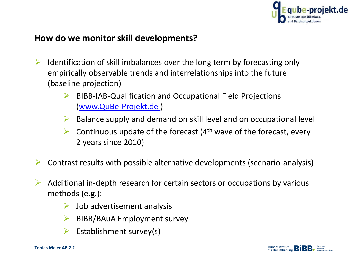

## **How do we monitor skill developments?**

- $\triangleright$  Identification of skill imbalances over the long term by forecasting only empirically observable trends and interrelationships into the future (baseline projection)
	- BIBB-IAB-Qualification and Occupational Field Projections ([www.QuBe-Projekt.de \)](http://www.qube-projekt.de/)
	- $\triangleright$  Balance supply and demand on skill level and on occupational level
	- $\triangleright$  Continuous update of the forecast (4<sup>th</sup> wave of the forecast, every 2 years since 2010)
- $\triangleright$  Contrast results with possible alternative developments (scenario-analysis)
- $\triangleright$  Additional in-depth research for certain sectors or occupations by various methods (e.g.):
	- $\triangleright$  Job advertisement analysis
	- $\triangleright$  BIBB/BAuA Employment survey
	- Establishment survey(s)

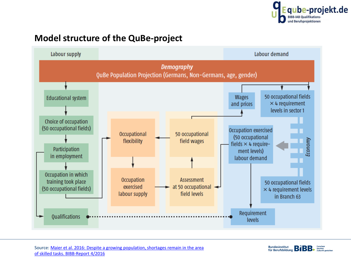

## **Model structure of the QuBe-project**



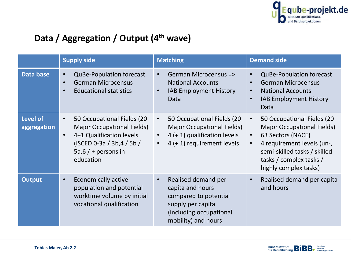

## **Data / Aggregation / Output (4th wave)**

|                                | <b>Supply side</b>                                                                                                                                                                                | <b>Matching</b>                                                                                                                                           | <b>Demand side</b>                                                                                                                                                                                                                            |
|--------------------------------|---------------------------------------------------------------------------------------------------------------------------------------------------------------------------------------------------|-----------------------------------------------------------------------------------------------------------------------------------------------------------|-----------------------------------------------------------------------------------------------------------------------------------------------------------------------------------------------------------------------------------------------|
| Data base                      | <b>QuBe-Population forecast</b><br>$\bullet$<br><b>German Microcensus</b><br>$\bullet$<br><b>Educational statistics</b>                                                                           | German Microcensus =><br>$\bullet$<br><b>National Accounts</b><br>IAB Employment History<br>$\bullet$<br>Data                                             | <b>QuBe-Population forecast</b><br><b>German Microcensus</b><br><b>National Accounts</b><br>$\bullet$<br>IAB Employment History<br>$\bullet$<br>Data                                                                                          |
| <b>Level of</b><br>aggregation | 50 Occupational Fields (20<br>$\bullet$<br><b>Major Occupational Fields)</b><br>4+1 Qualification levels<br>$\bullet$<br>$($ ISCED 0-3a $/$ 3b,4 $/$ 5b $/$<br>$5a, 6/$ + persons in<br>education | 50 Occupational Fields (20<br>$\bullet$<br><b>Major Occupational Fields)</b><br>$4 (+ 1)$ qualification levels<br>4 (+ 1) requirement levels<br>$\bullet$ | 50 Occupational Fields (20<br>$\bullet$<br><b>Major Occupational Fields)</b><br>63 Sectors (NACE)<br>$\bullet$<br>4 requirement levels (un-,<br>$\bullet$<br>semi-skilled tasks / skilled<br>tasks / complex tasks /<br>highly complex tasks) |
| <b>Output</b>                  | <b>Economically active</b><br>$\bullet$<br>population and potential<br>worktime volume by initial<br>vocational qualification                                                                     | Realised demand per<br>$\bullet$<br>capita and hours<br>compared to potential<br>supply per capita<br>(including occupational<br>mobility) and hours      | Realised demand per capita<br>$\bullet$<br>and hours                                                                                                                                                                                          |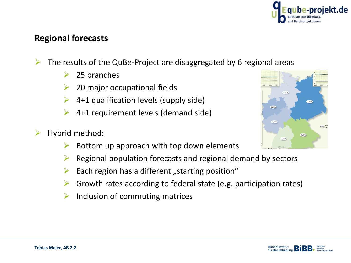

#### **Regional forecasts**

- $\triangleright$  The results of the QuBe-Project are disaggregated by 6 regional areas
	- $\triangleright$  25 branches
	- 20 major occupational fields
	- 4+1 qualification levels (supply side)
	- 4+1 requirement levels (demand side)
- $\blacktriangleright$  Hybrid method:
	- Bottom up approach with top down elements
	- Regional population forecasts and regional demand by sectors
	- $\triangleright$  Each region has a different "starting position"
	- Growth rates according to federal state (e.g. participation rates)
	- $\triangleright$  Inclusion of commuting matrices



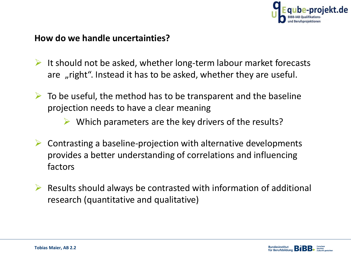

## **How do we handle uncertainties?**

- $\triangleright$  It should not be asked, whether long-term labour market forecasts are "right". Instead it has to be asked, whether they are useful.
- $\triangleright$  To be useful, the method has to be transparent and the baseline projection needs to have a clear meaning
	- $\triangleright$  Which parameters are the key drivers of the results?
- $\triangleright$  Contrasting a baseline-projection with alternative developments provides a better understanding of correlations and influencing factors
- $\triangleright$  Results should always be contrasted with information of additional research (quantitative and qualitative)

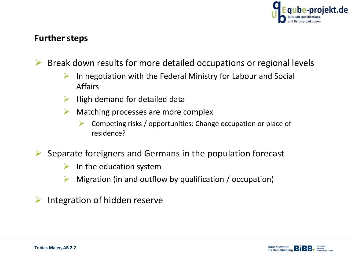

## **Further steps**

 $\triangleright$  Break down results for more detailed occupations or regional levels

- $\triangleright$  In negotiation with the Federal Ministry for Labour and Social Affairs
- High demand for detailed data
- $\triangleright$  Matching processes are more complex
	- Competing risks / opportunities: Change occupation or place of residence?

 $\triangleright$  Separate foreigners and Germans in the population forecast

- $\triangleright$  In the education system
- $\triangleright$  Migration (in and outflow by qualification / occupation)
- Integration of hidden reserve